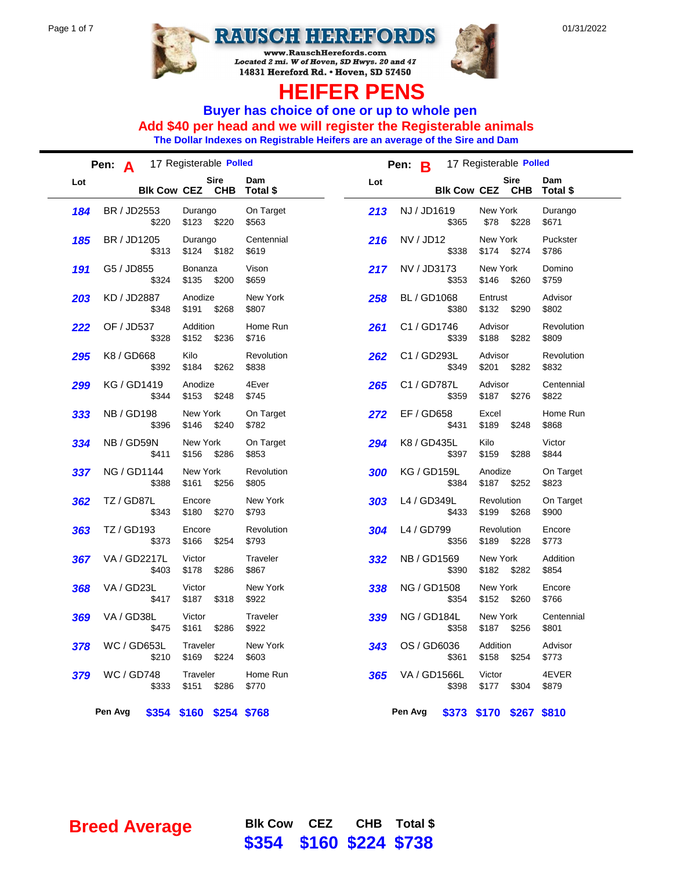



# **HEIFER PENS**

**Buyer has choice of one or up to whole pen**

**Add \$40 per head and we will register the Registerable animals**

**The Dollar Indexes on Registrable Heifers are an average of the Sire and Dam**

| Lot        |                            | <b>Sire</b><br>Blk Cow CEZ CHB | Dam<br>Total \$     | Lot |                             | <b>Sire</b><br>Blk Cow CEZ CHB Total \$ | Dam                 |
|------------|----------------------------|--------------------------------|---------------------|-----|-----------------------------|-----------------------------------------|---------------------|
| 184        | BR / JD2553<br>\$220       | Durango<br>\$123 \$220         | On Target<br>\$563  | 213 | NJ / JD1619<br>\$365        | New York<br>\$78 \$228                  | Durango<br>\$671    |
| 185        | BR / JD1205<br>\$313       | Durango<br>\$124 \$182         | Centennial<br>\$619 | 216 | <b>NV / JD12</b><br>\$338   | New York<br>\$174<br>\$274              | Puckster<br>\$786   |
| 191        | G5 / JD855<br>\$324        | Bonanza<br>\$135<br>\$200      | Vison<br>\$659      | 217 | NV / JD3173<br>\$353        | New York<br>\$146<br>\$260              | Domino<br>\$759     |
| 203        | KD / JD2887<br>\$348       | Anodize<br>\$191<br>\$268      | New York<br>\$807   | 258 | <b>BL / GD1068</b><br>\$380 | Entrust<br>\$132<br>\$290               | Advisor<br>\$802    |
| <u>222</u> | OF / JD537<br>\$328        | Addition<br>\$152<br>\$236     | Home Run<br>\$716   | 261 | C1 / GD1746<br>\$339        | Advisor<br>\$188<br>\$282               | Revolution<br>\$809 |
| 295        | K8 / GD668<br>\$392        | Kilo<br>\$184<br>\$262         | Revolution<br>\$838 | 262 | C1 / GD293L<br>\$349        | Advisor<br>\$201<br>\$282               | Revolution<br>\$832 |
| 299        | KG / GD1419<br>\$344       | Anodize<br>\$153<br>\$248      | 4Ever<br>\$745      | 265 | C1 / GD787L<br>\$359        | Advisor<br>\$187<br>\$276               | Centennial<br>\$822 |
| 333        | <b>NB / GD198</b><br>\$396 | New York<br>\$146<br>\$240     | On Target<br>\$782  | 272 | EF / GD658<br>\$431         | Excel<br>\$189<br>\$248                 | Home Run<br>\$868   |
| 334        | NB / GD59N<br>\$411        | New York<br>\$156<br>\$286     | On Target<br>\$853  | 294 | K8 / GD435L<br>\$397        | Kilo<br>\$159<br>\$288                  | Victor<br>\$844     |
| 337        | NG / GD1144<br>\$388       | New York<br>\$161<br>\$256     | Revolution<br>\$805 | 300 | <b>KG / GD159L</b><br>\$384 | Anodize<br>\$187<br>\$252               | On Target<br>\$823  |
| 362        | TZ / GD87L<br>\$343        | Encore<br>\$180<br>\$270       | New York<br>\$793   | 303 | L4 / GD349L<br>\$433        | Revolution<br>\$199<br>\$268            | On Target<br>\$900  |
| 363        | TZ / GD193<br>\$373        | Encore<br>\$166<br>\$254       | Revolution<br>\$793 | 304 | L4 / GD799<br>\$356         | Revolution<br>\$189<br>\$228            | Encore<br>\$773     |
| 367        | VA / GD2217L<br>\$403      | Victor<br>\$178<br>\$286       | Traveler<br>\$867   | 332 | NB / GD1569<br>\$390        | New York<br>\$182<br>\$282              | Addition<br>\$854   |
| 368        | VA / GD23L<br>\$417        | Victor<br>\$187<br>\$318       | New York<br>\$922   | 338 | NG / GD1508<br>\$354        | New York<br>\$152<br>\$260              | Encore<br>\$766     |
| 369        | VA / GD38L<br>\$475        | Victor<br>\$161<br>\$286       | Traveler<br>\$922   | 339 | NG / GD184L<br>\$358        | New York<br>\$187<br>\$256              | Centennial<br>\$801 |
| 378        | WC / GD653L<br>\$210       | Traveler<br>\$169<br>\$224     | New York<br>\$603   | 343 | OS / GD6036<br>\$361        | Addition<br>\$158<br>\$254              | Advisor<br>\$773    |
| 379        | WC / GD748<br>\$333        | Traveler<br>\$151<br>\$286     | Home Run<br>\$770   | 365 | VA / GD1566L<br>\$398       | Victor<br>\$304<br>\$177                | 4EVER<br>\$879      |
|            | Pen Avg<br>\$354           | \$254 \$768<br>\$160           |                     |     | Pen Avg<br>\$373            | \$170<br>\$267                          | \$810               |

**Breed Average** Blk Cow CEZ CHB Total \$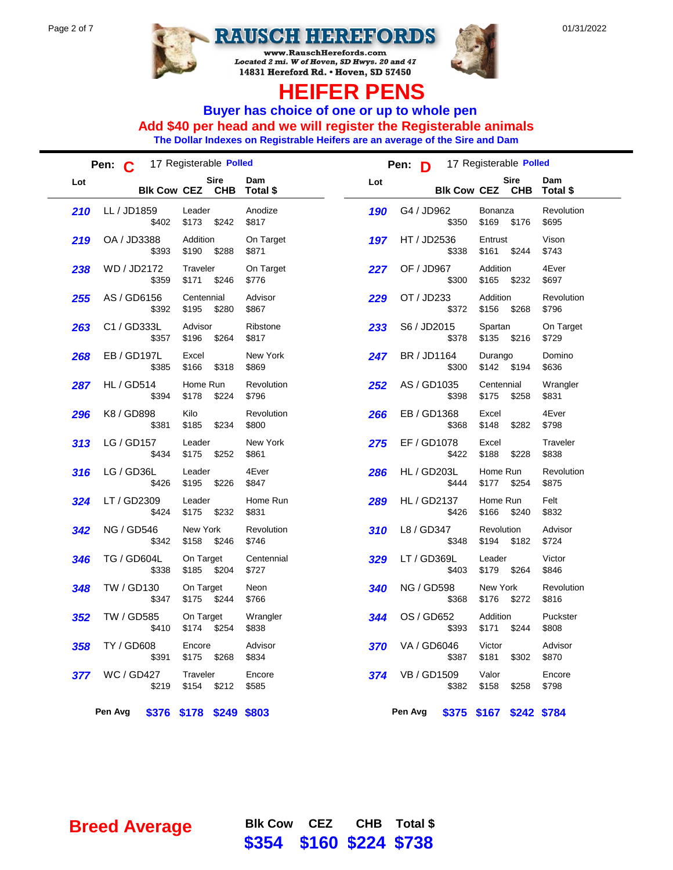



#### **HEIFER PENS**

**Buyer has choice of one or up to whole pen**

**Add \$40 per head and we will register the Registerable animals**

**The Dollar Indexes on Registrable Heifers are an average of the Sire and Dam**

| Lot | <b>BIk Cow CEZ</b>          | <b>Sire</b><br>CHB           | Dam<br>Total \$     | Lot |                             | <b>Sire</b><br>Blk Cow CEZ CHB Total \$ | Dam                        |
|-----|-----------------------------|------------------------------|---------------------|-----|-----------------------------|-----------------------------------------|----------------------------|
| 210 | LL / JD1859<br>\$402        | Leader<br>\$242<br>\$173     | Anodize<br>\$817    | 190 | G4 / JD962<br>\$350         | Bonanza<br>\$169<br>\$176               | <b>Revolution</b><br>\$695 |
| 219 | OA / JD3388<br>\$393        | Addition<br>\$190<br>\$288   | On Target<br>\$871  | 197 | HT / JD2536<br>\$338        | Entrust<br>\$161<br>\$244               | Vison<br>\$743             |
| 238 | WD / JD2172<br>\$359        | Traveler<br>\$171<br>\$246   | On Target<br>\$776  | 227 | OF / JD967<br>\$300         | Addition<br>\$165<br>\$232              | 4Ever<br>\$697             |
| 255 | AS / GD6156<br>\$392        | Centennial<br>\$195<br>\$280 | Advisor<br>\$867    | 229 | OT / JD233<br>\$372         | Addition<br>\$156<br>\$268              | Revolution<br>\$796        |
| 263 | C1 / GD333L<br>\$357        | Advisor<br>\$196<br>\$264    | Ribstone<br>\$817   | 233 | S6 / JD2015<br>\$378        | Spartan<br>\$135 \$216                  | On Target<br>\$729         |
| 268 | <b>EB / GD197L</b><br>\$385 | Excel<br>\$318<br>\$166      | New York<br>\$869   | 247 | BR / JD1164<br>\$300        | Durango<br>\$142 \$194                  | Domino<br>\$636            |
| 287 | <b>HL / GD514</b><br>\$394  | Home Run<br>\$178<br>\$224   | Revolution<br>\$796 | 252 | AS / GD1035<br>\$398        | Centennial<br>\$175<br>\$258            | Wrangler<br>\$831          |
| 296 | K8 / GD898<br>\$381         | Kilo<br>\$234<br>\$185       | Revolution<br>\$800 | 266 | EB / GD1368<br>\$368        | Excel<br>\$148<br>\$282                 | 4Ever<br>\$798             |
| 313 | LG / GD157<br>\$434         | Leader<br>\$175<br>\$252     | New York<br>\$861   | 275 | EF / GD1078<br>\$422        | Excel<br>\$188<br>\$228                 | Traveler<br>\$838          |
| 316 | LG / GD36L<br>\$426         | Leader<br>\$195<br>\$226     | 4Ever<br>\$847      | 286 | <b>HL / GD203L</b><br>\$444 | Home Run<br>\$177<br>\$254              | Revolution<br>\$875        |
| 324 | LT / GD2309<br>\$424        | Leader<br>\$175<br>\$232     | Home Run<br>\$831   | 289 | <b>HL / GD2137</b><br>\$426 | Home Run<br>\$166<br>\$240              | Felt<br>\$832              |
| 342 | NG / GD546<br>\$342         | New York<br>\$158<br>\$246   | Revolution<br>\$746 | 310 | L8 / GD347<br>\$348         | Revolution<br>\$194<br>\$182            | Advisor<br>\$724           |
| 346 | TG / GD604L<br>\$338        | On Target<br>\$185<br>\$204  | Centennial<br>\$727 | 329 | LT / GD369L<br>\$403        | Leader<br>\$179<br>\$264                | Victor<br>\$846            |
| 348 | TW / GD130<br>\$347         | On Target<br>\$175 \$244     | Neon<br>\$766       | 340 | <b>NG / GD598</b><br>\$368  | New York<br>\$176<br>\$272              | Revolution<br>\$816        |
| 352 | TW / GD585<br>\$410         | On Target<br>\$174<br>\$254  | Wrangler<br>\$838   | 344 | OS / GD652<br>\$393         | Addition<br>\$171<br>\$244              | Puckster<br>\$808          |
| 358 | TY / GD608<br>\$391         | Encore<br>\$175<br>\$268     | Advisor<br>\$834    | 370 | VA / GD6046<br>\$387        | Victor<br>\$181<br>\$302                | Advisor<br>\$870           |
| 377 | WC / GD427<br>\$219         | Traveler<br>\$212<br>\$154   | Encore<br>\$585     | 374 | VB / GD1509<br>\$382        | Valor<br>\$158<br>\$258                 | Encore<br>\$798            |
|     | Pen Avg<br>\$376            | \$178 \$249 \$803            |                     |     | Pen Avg                     | \$375 \$167 \$242 \$784                 |                            |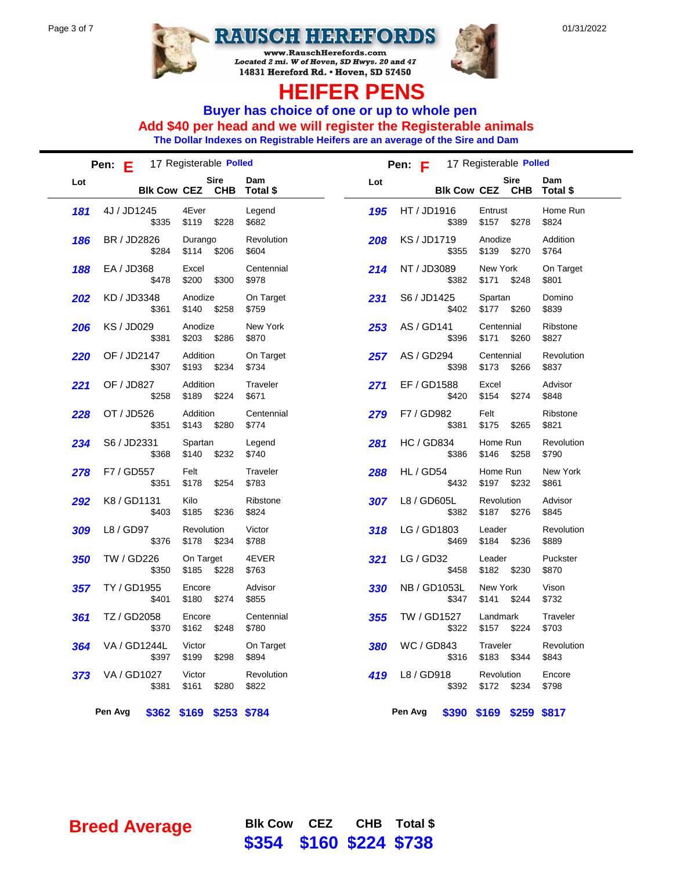



#### **HEIFER PENS**

**Buyer has choice of one or up to whole pen**

**Add \$40 per head and we will register the Registerable animals**

**The Dollar Indexes on Registrable Heifers are an average of the Sire and Dam**

|     | Pen: E                | 17 Registerable Polled       |                     |     | Pen: $F$                   | 17 Registerable Polled       |                     |  |
|-----|-----------------------|------------------------------|---------------------|-----|----------------------------|------------------------------|---------------------|--|
| Lot | <b>Blk Cow CEZ</b>    | <b>Sire</b><br><b>CHB</b>    | Dam<br>Total \$     | Lot | <b>BIk Cow CEZ</b>         | <b>Sire</b><br><b>CHB</b>    | Dam<br>Total \$     |  |
| 181 | 4J / JD1245<br>\$335  | 4Ever<br>\$119<br>\$228      | Legend<br>\$682     | 195 | HT / JD1916<br>\$389       | Entrust<br>\$157<br>\$278    | Home Run<br>\$824   |  |
| 186 | BR / JD2826<br>\$284  | Durango<br>\$114<br>\$206    | Revolution<br>\$604 | 208 | KS / JD1719<br>\$355       | Anodize<br>\$139<br>\$270    | Addition<br>\$764   |  |
| 188 | EA / JD368<br>\$478   | Excel<br>\$200<br>\$300      | Centennial<br>\$978 | 214 | NT / JD3089<br>\$382       | New York<br>\$171<br>\$248   | On Target<br>\$801  |  |
| 202 | KD / JD3348<br>\$361  | Anodize<br>\$140<br>\$258    | On Target<br>\$759  | 231 | S6 / JD1425<br>\$402       | Spartan<br>\$177<br>\$260    | Domino<br>\$839     |  |
| 206 | KS / JD029<br>\$381   | Anodize<br>\$203<br>\$286    | New York<br>\$870   | 253 | AS / GD141<br>\$396        | Centennial<br>\$171<br>\$260 | Ribstone<br>\$827   |  |
| 220 | OF / JD2147<br>\$307  | Addition<br>\$193<br>\$234   | On Target<br>\$734  | 257 | AS / GD294<br>\$398        | Centennial<br>\$173<br>\$266 | Revolution<br>\$837 |  |
| 221 | OF / JD827<br>\$258   | Addition<br>\$189<br>\$224   | Traveler<br>\$671   | 271 | EF / GD1588<br>\$420       | Excel<br>\$154<br>\$274      | Advisor<br>\$848    |  |
| 228 | OT / JD526<br>\$351   | Addition<br>\$280<br>\$143   | Centennial<br>\$774 | 279 | F7 / GD982<br>\$381        | Felt<br>\$175<br>\$265       | Ribstone<br>\$821   |  |
| 234 | S6 / JD2331<br>\$368  | Spartan<br>\$140<br>\$232    | Legend<br>\$740     | 281 | <b>HC / GD834</b><br>\$386 | Home Run<br>\$146<br>\$258   | Revolution<br>\$790 |  |
| 278 | F7 / GD557<br>\$351   | Felt<br>\$178<br>\$254       | Traveler<br>\$783   | 288 | <b>HL / GD54</b><br>\$432  | Home Run<br>\$197<br>\$232   | New York<br>\$861   |  |
| 292 | K8 / GD1131<br>\$403  | Kilo<br>\$236<br>\$185       | Ribstone<br>\$824   | 307 | L8 / GD605L<br>\$382       | Revolution<br>\$187<br>\$276 | Advisor<br>\$845    |  |
| 309 | L8 / GD97<br>\$376    | Revolution<br>\$178<br>\$234 | Victor<br>\$788     | 318 | LG / GD1803<br>\$469       | Leader<br>\$184<br>\$236     | Revolution<br>\$889 |  |
| 350 | TW / GD226<br>\$350   | On Target<br>\$185<br>\$228  | 4EVER<br>\$763      | 321 | LG / GD32<br>\$458         | Leader<br>\$182<br>\$230     | Puckster<br>\$870   |  |
| 357 | TY / GD1955<br>\$401  | Encore<br>\$180<br>\$274     | Advisor<br>\$855    | 330 | NB / GD1053L<br>\$347      | New York<br>\$141<br>\$244   | Vison<br>\$732      |  |
| 361 | TZ / GD2058<br>\$370  | Encore<br>\$162<br>\$248     | Centennial<br>\$780 | 355 | TW / GD1527<br>\$322       | Landmark<br>\$157<br>\$224   | Traveler<br>\$703   |  |
| 364 | VA / GD1244L<br>\$397 | Victor<br>\$199<br>\$298     | On Target<br>\$894  | 380 | <b>WC/GD843</b><br>\$316   | Traveler<br>\$183<br>\$344   | Revolution<br>\$843 |  |
| 373 | VA / GD1027<br>\$381  | Victor<br>\$161<br>\$280     | Revolution<br>\$822 | 419 | L8 / GD918<br>\$392        | Revolution<br>\$234<br>\$172 | Encore<br>\$798     |  |
|     | Pen Avg<br>\$362      | \$169 \$253 \$784            |                     |     | Pen Avg                    | \$390 \$169 \$259            | \$817               |  |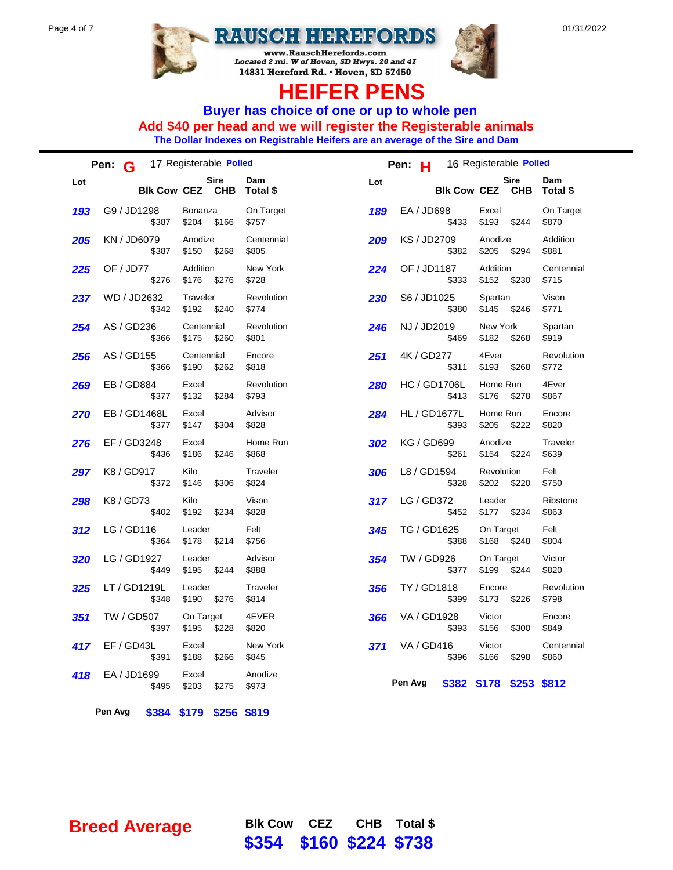



## **HEIFER PENS**

**Buyer has choice of one or up to whole pen**

**Add \$40 per head and we will register the Registerable animals**

**The Dollar Indexes on Registrable Heifers are an average of the Sire and Dam**

| 17 Registerable Polled<br>Pen: G |                           |                                |                     |     | 16 Registerable Polled<br>Pen:<br>н |                                         |                     |
|----------------------------------|---------------------------|--------------------------------|---------------------|-----|-------------------------------------|-----------------------------------------|---------------------|
| Lot                              |                           | <b>Sire</b><br>Blk Cow CEZ CHB | Dam<br>Total \$     | Lot |                                     | <b>Sire</b><br>Blk Cow CEZ CHB Total \$ | Dam                 |
| 193                              | G9 / JD1298<br>\$387      | Bonanza<br>\$204<br>\$166      | On Target<br>\$757  | 189 | EA / JD698<br>\$433                 | Excel<br>\$193<br>\$244                 | On Target<br>\$870  |
| 205                              | KN / JD6079<br>\$387      | Anodize<br>\$150<br>\$268      | Centennial<br>\$805 | 209 | KS / JD2709<br>\$382                | Anodize<br>\$205 \$294                  | Addition<br>\$881   |
| 225                              | <b>OF / JD77</b><br>\$276 | Addition<br>\$176<br>\$276     | New York<br>\$728   | 224 | OF / JD1187<br>\$333                | Addition<br>\$152 \$230                 | Centennial<br>\$715 |
| 237                              | WD / JD2632<br>\$342      | Traveler<br>\$192<br>\$240     | Revolution<br>\$774 | 230 | S6 / JD1025<br>\$380                | Spartan<br>\$145<br>\$246               | Vison<br>\$771      |
| 254                              | AS / GD236<br>\$366       | Centennial<br>\$175<br>\$260   | Revolution<br>\$801 | 246 | NJ / JD2019<br>\$469                | New York<br>\$182<br>\$268              | Spartan<br>\$919    |
| 256                              | AS / GD155<br>\$366       | Centennial<br>\$190<br>\$262   | Encore<br>\$818     | 251 | 4K / GD277<br>\$311                 | 4Ever<br>\$193<br>\$268                 | Revolution<br>\$772 |
| 269                              | EB / GD884<br>\$377       | Excel<br>\$132<br>\$284        | Revolution<br>\$793 | 280 | <b>HC / GD1706L</b><br>\$413        | Home Run<br>\$176<br>\$278              | 4Ever<br>\$867      |
| 270                              | EB / GD1468L<br>\$377     | Excel<br>\$147<br>\$304        | Advisor<br>\$828    | 284 | <b>HL / GD1677L</b><br>\$393        | Home Run<br>\$205<br>\$222              | Encore<br>\$820     |
| 276                              | EF / GD3248<br>\$436      | Excel<br>\$186<br>\$246        | Home Run<br>\$868   | 302 | <b>KG / GD699</b><br>\$261          | Anodize<br>\$154 \$224                  | Traveler<br>\$639   |
| 297                              | K8 / GD917<br>\$372       | Kilo<br>\$146<br>\$306         | Traveler<br>\$824   | 306 | L8 / GD1594<br>\$328                | Revolution<br>\$202<br>\$220            | Felt<br>\$750       |
| 298                              | K8 / GD73<br>\$402        | Kilo<br>\$192<br>\$234         | Vison<br>\$828      | 317 | LG / GD372<br>\$452                 | Leader<br>\$177<br>\$234                | Ribstone<br>\$863   |
| 312                              | LG/GD116<br>\$364         | Leader<br>\$178<br>\$214       | Felt<br>\$756       | 345 | TG / GD1625<br>\$388                | On Target<br>\$168<br>\$248             | Felt<br>\$804       |
| 320                              | LG / GD1927<br>\$449      | Leader<br>\$195<br>\$244       | Advisor<br>\$888    | 354 | TW / GD926<br>\$377                 | On Target<br>\$199<br>\$244             | Victor<br>\$820     |
| 325                              | LT / GD1219L<br>\$348     | Leader<br>\$190<br>\$276       | Traveler<br>\$814   | 356 | TY / GD1818<br>\$399                | Encore<br>\$173<br>\$226                | Revolution<br>\$798 |
| 351                              | TW / GD507<br>\$397       | On Target<br>\$195<br>\$228    | 4EVER<br>\$820      | 366 | VA / GD1928<br>\$393                | Victor<br>\$156<br>\$300                | Encore<br>\$849     |
| 417                              | EF / GD43L<br>\$391       | Excel<br>\$188<br>\$266        | New York<br>\$845   | 371 | VA / GD416<br>\$396                 | Victor<br>\$166<br>\$298                | Centennial<br>\$860 |
| 418                              | EA / JD1699<br>\$495      | Excel<br>\$203<br>\$275        | Anodize<br>\$973    |     | Pen Avg                             | \$382 \$178 \$253 \$812                 |                     |
|                                  |                           |                                |                     |     |                                     |                                         |                     |

**Pen Avg \$384 \$179 \$256 \$819**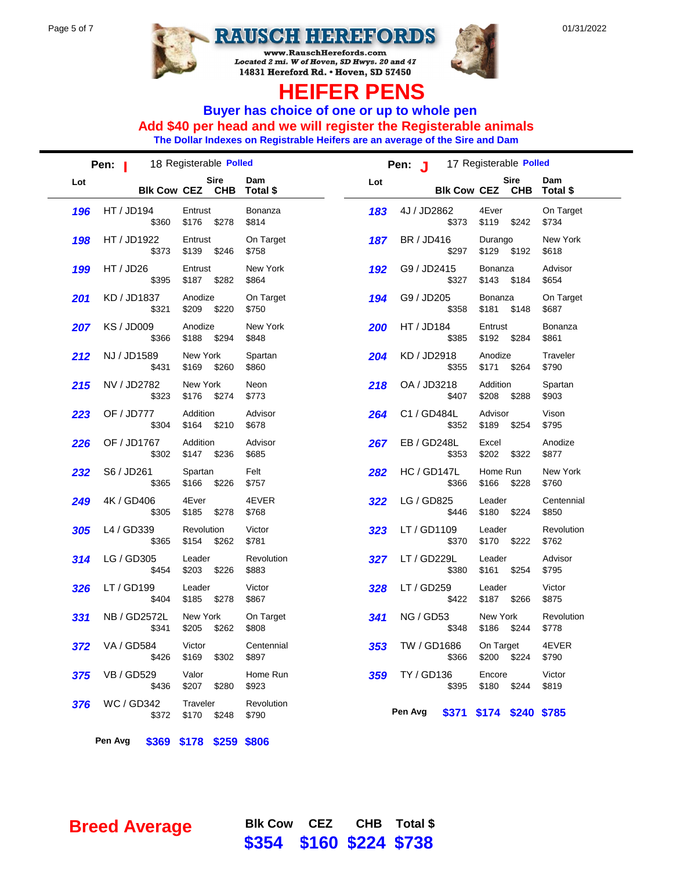



## **HEIFER PENS**

**Buyer has choice of one or up to whole pen**

**Add \$40 per head and we will register the Registerable animals**

**The Dollar Indexes on Registrable Heifers are an average of the Sire and Dam**

| Lot |                              | <b>Sire</b><br><b>Blk Cow CEZ CHB</b> | Dam<br>Total \$     | Lot |                           | <b>Sire</b><br><b>Blk Cow CEZ CHB</b> | Dam<br>Total \$     |
|-----|------------------------------|---------------------------------------|---------------------|-----|---------------------------|---------------------------------------|---------------------|
| 196 | HT / JD194<br>\$360          | Entrust<br>\$176 \$278                | Bonanza<br>\$814    | 183 | 4J / JD2862<br>\$373      | 4Ever<br>\$119 \$242                  | On Target<br>\$734  |
| 198 | HT / JD1922<br>\$373         | Entrust<br>\$139 \$246                | On Target<br>\$758  | 187 | BR / JD416<br>\$297       | Durango<br>\$129 \$192                | New York<br>\$618   |
| 199 | HT / JD26<br>\$395           | Entrust<br>\$187 \$282                | New York<br>\$864   | 192 | G9 / JD2415<br>\$327      | Bonanza<br>\$143 \$184                | Advisor<br>\$654    |
| 201 | KD / JD1837<br>\$321         | Anodize<br>\$209 \$220                | On Target<br>\$750  | 194 | G9 / JD205<br>\$358       | Bonanza<br>\$181 \$148                | On Target<br>\$687  |
| 207 | <b>KS / JD009</b><br>\$366   | Anodize<br>\$188<br>\$294             | New York<br>\$848   | 200 | HT / JD184<br>\$385       | Entrust<br>\$192 \$284                | Bonanza<br>\$861    |
| 212 | NJ / JD1589<br>\$431         | New York<br>\$169<br>\$260            | Spartan<br>\$860    | 204 | KD / JD2918<br>\$355      | Anodize<br>\$171 \$264                | Traveler<br>\$790   |
| 215 | NV / JD2782<br>\$323         | New York<br>\$176 \$274               | Neon<br>\$773       | 218 | OA / JD3218<br>\$407      | Addition<br>\$208 \$288               | Spartan<br>\$903    |
| 223 | OF / JD777<br>\$304          | Addition<br>\$164 \$210               | Advisor<br>\$678    | 264 | C1 / GD484L<br>\$352      | Advisor<br>\$189<br>\$254             | Vison<br>\$795      |
| 226 | OF / JD1767<br>\$302         | Addition<br>\$147 \$236               | Advisor<br>\$685    | 267 | EB / GD248L<br>\$353      | Excel<br>\$202<br>\$322               | Anodize<br>\$877    |
| 232 | S6 / JD261<br>\$365          | Spartan<br>\$166<br>\$226             | Felt<br>\$757       | 282 | HC / GD147L<br>\$366      | Home Run<br>\$166<br>\$228            | New York<br>\$760   |
| 249 | 4K / GD406<br>\$305          | 4Ever<br>\$185<br>\$278               | 4EVER<br>\$768      | 322 | LG / GD825<br>\$446       | Leader<br>\$180 \$224                 | Centennial<br>\$850 |
| 305 | L4 / GD339<br>\$365          | Revolution<br>\$154<br>\$262          | Victor<br>\$781     | 323 | LT / GD1109<br>\$370      | Leader<br>\$170 \$222                 | Revolution<br>\$762 |
| 314 | LG / GD305<br>\$454          | Leader<br>\$203<br>\$226              | Revolution<br>\$883 | 327 | LT / GD229L<br>\$380      | Leader<br>\$161 \$254                 | Advisor<br>\$795    |
| 326 | LT / GD199<br>\$404          | Leader<br>\$185 \$278                 | Victor<br>\$867     | 328 | LT / GD259<br>\$422       | Leader<br>\$187 \$266                 | Victor<br>\$875     |
| 331 | <b>NB / GD2572L</b><br>\$341 | New York<br>\$205<br>\$262            | On Target<br>\$808  | 341 | <b>NG / GD53</b><br>\$348 | New York<br>\$186 \$244               | Revolution<br>\$778 |
| 372 | VA / GD584<br>\$426          | Victor<br>\$169<br>\$302              | Centennial<br>\$897 | 353 | TW / GD1686<br>\$366      | On Target<br>\$200 \$224              | 4EVER<br>\$790      |
| 375 | <b>VB / GD529</b><br>\$436   | Valor<br>\$207<br>\$280               | Home Run<br>\$923   | 359 | TY / GD136<br>\$395       | Encore<br>\$180 \$244                 | Victor<br>\$819     |
| 376 | WC / GD342<br>\$372          | Traveler<br>\$170<br>\$248            | Revolution<br>\$790 |     | Pen Avg                   | \$371 \$174 \$240 \$785               |                     |

**Pen Avg \$369 \$178 \$259 \$806**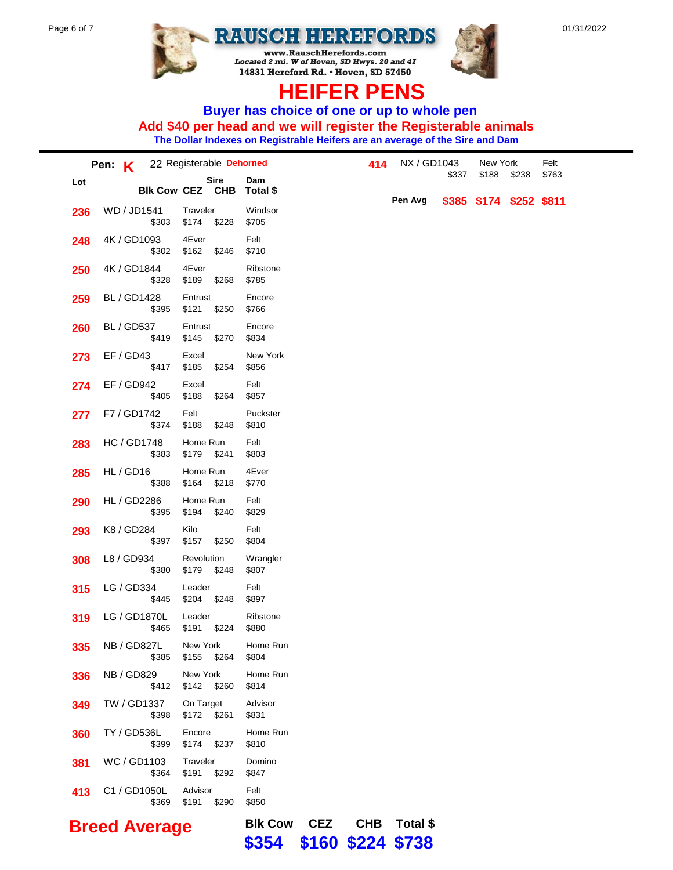



#### **HEIFER PENS**

**Buyer has choice of one or up to whole pen**

**Add \$40 per head and we will register the Registerable animals**

**The Dollar Indexes on Registrable Heifers are an average of the Sire and Dam**

|     | Pen: K                      | 22 Registerable Dehorned              |                   | 414 | NX / GD1043 | \$337 | New York<br>\$188<br>\$238 |  | Felt<br>\$763 |
|-----|-----------------------------|---------------------------------------|-------------------|-----|-------------|-------|----------------------------|--|---------------|
| Lot |                             | <b>Sire</b><br><b>BIk Cow CEZ CHB</b> | Dam<br>Total \$   |     | Pen Avg     |       | \$385 \$174 \$252 \$811    |  |               |
| 236 | WD / JD1541<br>\$303        | Traveler<br>\$174 \$228               | Windsor<br>\$705  |     |             |       |                            |  |               |
| 248 | 4K / GD1093<br>\$302        | 4Ever<br>\$162<br>\$246               | Felt<br>\$710     |     |             |       |                            |  |               |
| 250 | 4K / GD1844<br>\$328        | 4Ever<br>\$189<br>\$268               | Ribstone<br>\$785 |     |             |       |                            |  |               |
| 259 | <b>BL / GD1428</b><br>\$395 | Entrust<br>\$121<br>\$250             | Encore<br>\$766   |     |             |       |                            |  |               |
| 260 | <b>BL</b> / GD537<br>\$419  | Entrust<br>\$145<br>\$270             | Encore<br>\$834   |     |             |       |                            |  |               |
| 273 | EF / GD43<br>\$417          | Excel<br>\$185<br>\$254               | New York<br>\$856 |     |             |       |                            |  |               |
| 274 | EF / GD942<br>\$405         | Excel<br>\$188<br>\$264               | Felt<br>\$857     |     |             |       |                            |  |               |
| 277 | F7 / GD1742<br>\$374        | Felt<br>\$188<br>\$248                | Puckster<br>\$810 |     |             |       |                            |  |               |
| 283 | <b>HC / GD1748</b><br>\$383 | Home Run<br>\$179<br>\$241            | Felt<br>\$803     |     |             |       |                            |  |               |
| 285 | HL / GD16<br>\$388          | Home Run<br>\$164 \$218               | 4Ever<br>\$770    |     |             |       |                            |  |               |
| 290 | HL / GD2286<br>\$395        | Home Run<br>\$194<br>\$240            | Felt<br>\$829     |     |             |       |                            |  |               |
| 293 | K8 / GD284<br>\$397         | Kilo<br>\$157<br>\$250                | Felt<br>\$804     |     |             |       |                            |  |               |
| 308 | L8 / GD934<br>\$380         | Revolution<br>\$179<br>\$248          | Wrangler<br>\$807 |     |             |       |                            |  |               |
| 315 | LG / GD334<br>\$445         | Leader<br>\$204 \$248                 | Felt<br>\$897     |     |             |       |                            |  |               |
| 319 | LG / GD1870L<br>\$465       | Leader<br>\$191 \$224                 | Ribstone<br>\$880 |     |             |       |                            |  |               |
| 335 | NB / GD827L<br>\$385        | New York<br>\$155 \$264               | Home Run<br>\$804 |     |             |       |                            |  |               |
| 336 | <b>NB / GD829</b><br>\$412  | New York<br>\$142 \$260               | Home Run<br>\$814 |     |             |       |                            |  |               |
| 349 | TW / GD1337<br>\$398        | On Target<br>\$172 \$261              | Advisor<br>\$831  |     |             |       |                            |  |               |
| 360 | TY / GD536L<br>\$399        | Encore<br>\$174 \$237                 | Home Run<br>\$810 |     |             |       |                            |  |               |
| 381 | WC / GD1103<br>\$364        | Traveler<br>\$191 \$292               | Domino<br>\$847   |     |             |       |                            |  |               |
| 413 | C1 / GD1050L<br>\$369       | Advisor<br>\$191 \$290                | Felt<br>\$850     |     |             |       |                            |  |               |